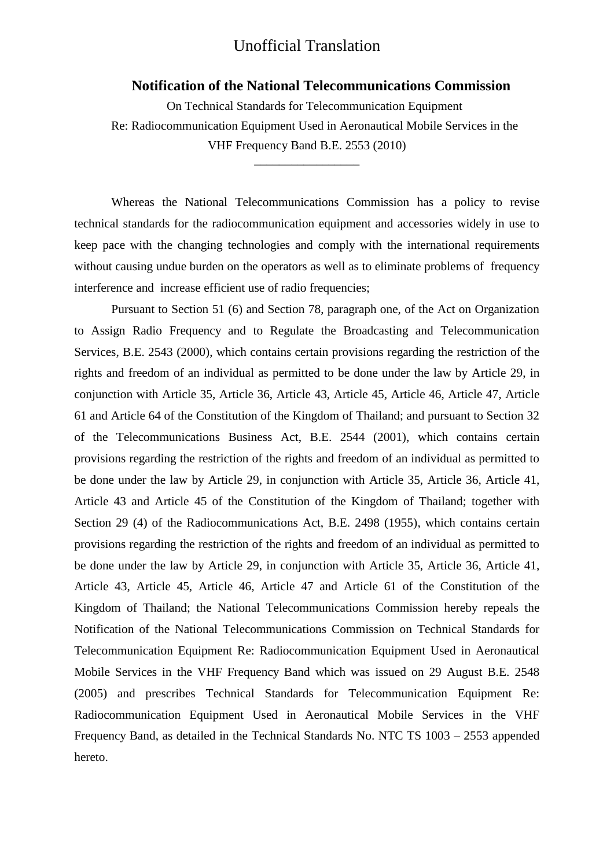## Unofficial Translation

#### **Notification of the National Telecommunications Commission**

 On Technical Standards for Telecommunication Equipment Re: Radiocommunication Equipment Used in Aeronautical Mobile Services in the VHF Frequency Band B.E. 2553 (2010)

\_\_\_\_\_\_\_\_\_\_\_\_\_\_\_\_\_

Whereas the National Telecommunications Commission has a policy to revise technical standards for the radiocommunication equipment and accessories widely in use to keep pace with the changing technologies and comply with the international requirements without causing undue burden on the operators as well as to eliminate problems of frequency interference and increase efficient use of radio frequencies;

Pursuant to Section 51 (6) and Section 78, paragraph one, of the Act on Organization to Assign Radio Frequency and to Regulate the Broadcasting and Telecommunication Services, B.E. 2543 (2000), which contains certain provisions regarding the restriction of the rights and freedom of an individual as permitted to be done under the law by Article 29, in conjunction with Article 35, Article 36, Article 43, Article 45, Article 46, Article 47, Article 61 and Article 64 of the Constitution of the Kingdom of Thailand; and pursuant to Section 32 of the Telecommunications Business Act, B.E. 2544 (2001), which contains certain provisions regarding the restriction of the rights and freedom of an individual as permitted to be done under the law by Article 29, in conjunction with Article 35, Article 36, Article 41, Article 43 and Article 45 of the Constitution of the Kingdom of Thailand; together with Section 29 (4) of the Radiocommunications Act, B.E. 2498 (1955), which contains certain provisions regarding the restriction of the rights and freedom of an individual as permitted to be done under the law by Article 29, in conjunction with Article 35, Article 36, Article 41, Article 43, Article 45, Article 46, Article 47 and Article 61 of the Constitution of the Kingdom of Thailand; the National Telecommunications Commission hereby repeals the Notification of the National Telecommunications Commission on Technical Standards for Telecommunication Equipment Re: Radiocommunication Equipment Used in Aeronautical Mobile Services in the VHF Frequency Band which was issued on 29 August B.E. 2548 (2005) and prescribes Technical Standards for Telecommunication Equipment Re: Radiocommunication Equipment Used in Aeronautical Mobile Services in the VHF Frequency Band, as detailed in the Technical Standards No. NTC TS 1003 – 2553 appended hereto.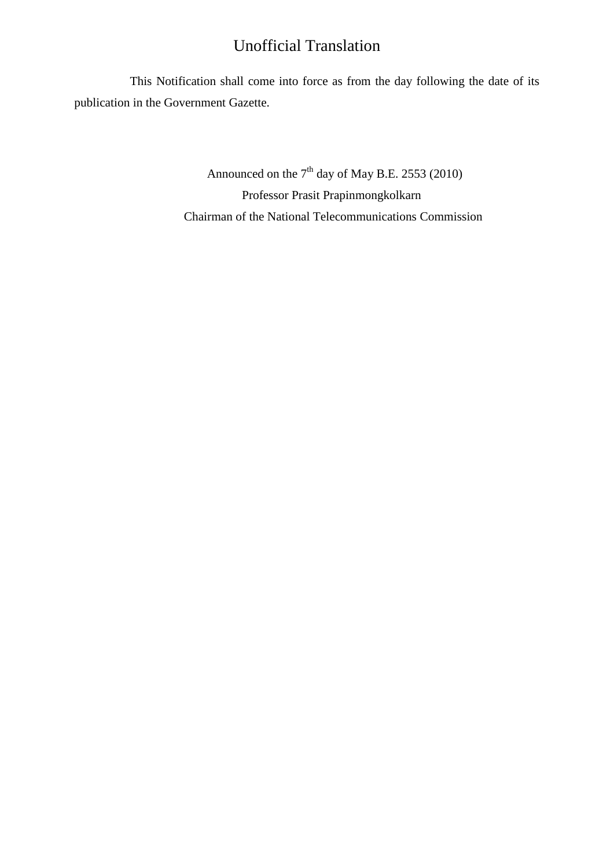## Unofficial Translation

This Notification shall come into force as from the day following the date of its publication in the Government Gazette.

> Announced on the  $7<sup>th</sup>$  day of May B.E. 2553 (2010) Professor Prasit Prapinmongkolkarn Chairman of the National Telecommunications Commission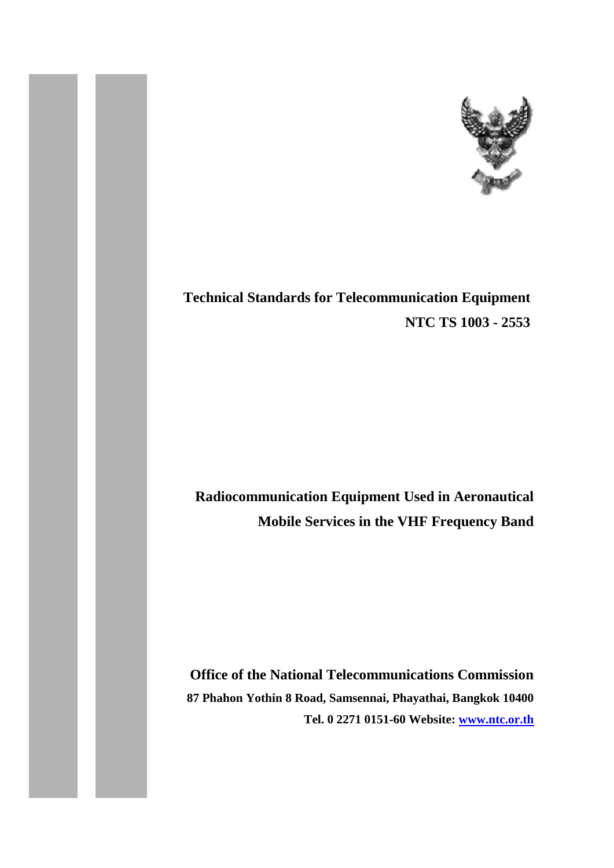

# **Technical Standards for Telecommunication Equipment NTC TS 1003 - 2553**

# **Radiocommunication Equipment Used in Aeronautical Mobile Services in the VHF Frequency Band**

**Office of the National Telecommunications Commission 87 Phahon Yothin 8 Road, Samsennai, Phayathai, Bangkok 10400 Tel. 0 2271 0151-60 Website: [www.ntc.or.th](http://www.ntc.or.th/)**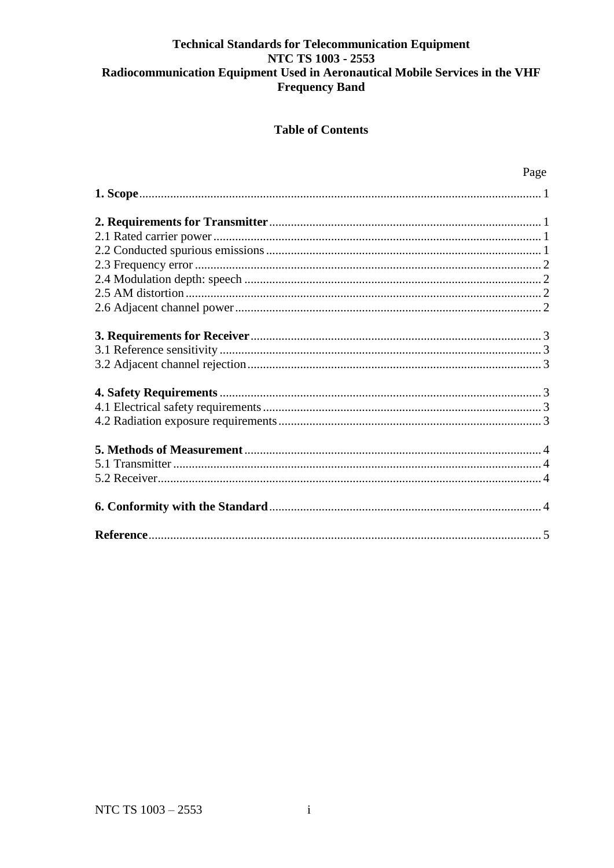## **Table of Contents**

<span id="page-3-0"></span>

| Page |
|------|
|      |
|      |
|      |
|      |
|      |
|      |
|      |
|      |
|      |
|      |
|      |
|      |
|      |
|      |
|      |
|      |
|      |
|      |
|      |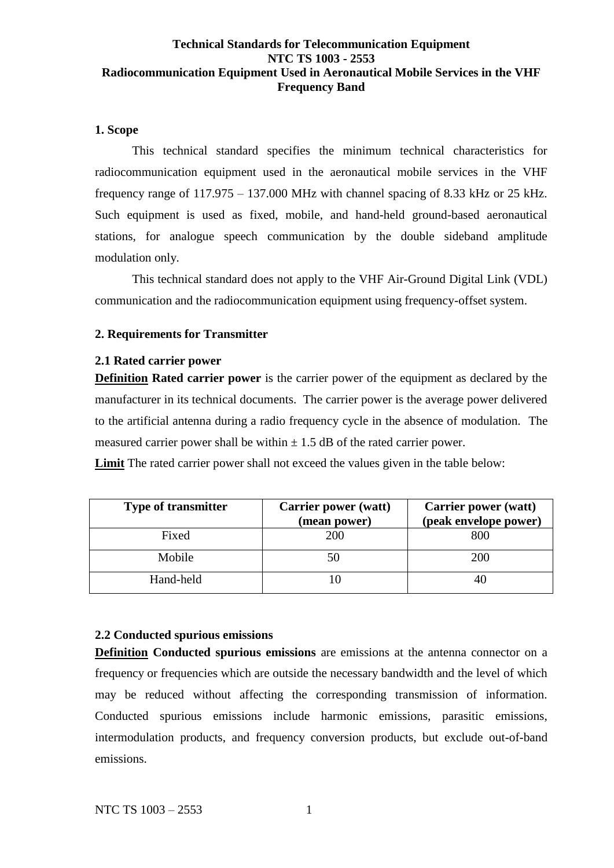#### **1. Scope**

This technical standard specifies the minimum technical characteristics for radiocommunication equipment used in the aeronautical mobile services in the VHF frequency range of 117.975 – 137.000 MHz with channel spacing of 8.33 kHz or 25 kHz. Such equipment is used as fixed, mobile, and hand-held ground-based aeronautical stations, for analogue speech communication by the double sideband amplitude modulation only.

This technical standard does not apply to the VHF Air-Ground Digital Link (VDL) communication and the radiocommunication equipment using frequency-offset system.

#### <span id="page-4-0"></span>**2. Requirements for Transmitter**

#### <span id="page-4-1"></span>**2.1 Rated carrier power**

**Definition Rated carrier power** is the carrier power of the equipment as declared by the manufacturer in its technical documents. The carrier power is the average power delivered to the artificial antenna during a radio frequency cycle in the absence of modulation. The measured carrier power shall be within  $\pm$  1.5 dB of the rated carrier power.

**Limit** The rated carrier power shall not exceed the values given in the table below:

| <b>Type of transmitter</b> | <b>Carrier power (watt)</b><br>(mean power) | <b>Carrier power (watt)</b><br>(peak envelope power) |
|----------------------------|---------------------------------------------|------------------------------------------------------|
| Fixed                      | <b>200</b>                                  | 800                                                  |
| Mobile                     |                                             | <b>200</b>                                           |
| Hand-held                  |                                             |                                                      |

## <span id="page-4-2"></span>**2.2 Conducted spurious emissions**

**Definition Conducted spurious emissions** are emissions at the antenna connector on a frequency or frequencies which are outside the necessary bandwidth and the level of which may be reduced without affecting the corresponding transmission of information. Conducted spurious emissions include harmonic emissions, parasitic emissions, intermodulation products, and frequency conversion products, but exclude out-of-band emissions.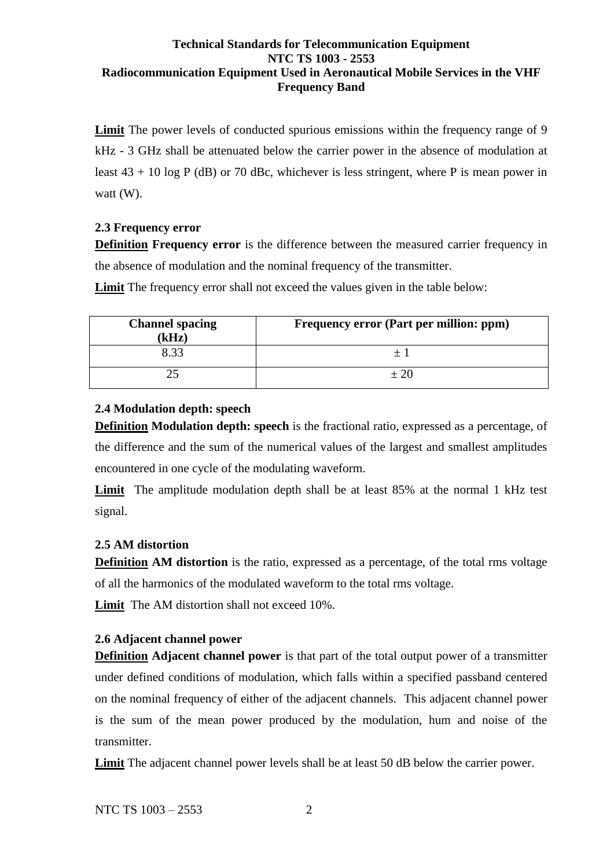**Limit** The power levels of conducted spurious emissions within the frequency range of 9 kHz - 3 GHz shall be attenuated below the carrier power in the absence of modulation at least  $43 + 10 \log P$  (dB) or 70 dBc, whichever is less stringent, where P is mean power in watt (W).

## <span id="page-5-0"></span>**2.3 Frequency error**

**Definition Frequency error** is the difference between the measured carrier frequency in the absence of modulation and the nominal frequency of the transmitter.

**Limit** The frequency error shall not exceed the values given in the table below:

| <b>Channel spacing</b><br>(kHz) | Frequency error (Part per million: ppm) |
|---------------------------------|-----------------------------------------|
| 8.33                            |                                         |
|                                 | $+20$                                   |

## <span id="page-5-1"></span>**2.4 Modulation depth: speech**

**Definition Modulation depth: speech** is the fractional ratio, expressed as a percentage, of the difference and the sum of the numerical values of the largest and smallest amplitudes encountered in one cycle of the modulating waveform.

**Limit** The amplitude modulation depth shall be at least 85% at the normal 1 kHz test signal.

## <span id="page-5-2"></span>**2.5 AM distortion**

**Definition AM distortion** is the ratio, expressed as a percentage, of the total rms voltage of all the harmonics of the modulated waveform to the total rms voltage.

Limit The AM distortion shall not exceed 10%.

## <span id="page-5-3"></span>**2.6 Adjacent channel power**

**Definition Adjacent channel power** is that part of the total output power of a transmitter under defined conditions of modulation, which falls within a specified passband centered on the nominal frequency of either of the adjacent channels. This adjacent channel power is the sum of the mean power produced by the modulation, hum and noise of the transmitter.

**Limit** The adjacent channel power levels shall be at least 50 dB below the carrier power.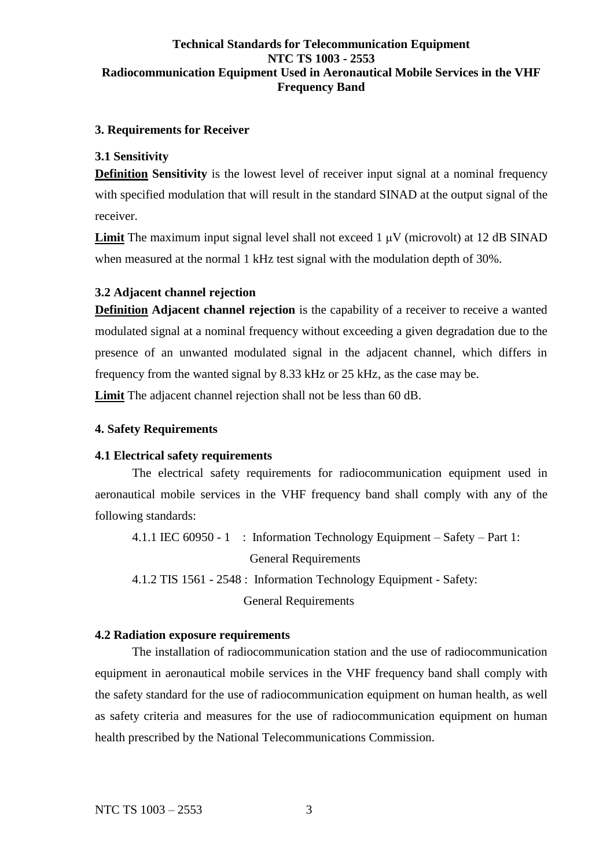#### <span id="page-6-0"></span>**3. Requirements for Receiver**

#### <span id="page-6-1"></span>**3.1 Sensitivity**

**Definition Sensitivity** is the lowest level of receiver input signal at a nominal frequency with specified modulation that will result in the standard SINAD at the output signal of the receiver.

**Limit** The maximum input signal level shall not exceed  $1 \mu$ V (microvolt) at 12 dB SINAD when measured at the normal 1 kHz test signal with the modulation depth of 30%.

#### <span id="page-6-2"></span>**3.2 Adjacent channel rejection**

**Definition Adjacent channel rejection** is the capability of a receiver to receive a wanted modulated signal at a nominal frequency without exceeding a given degradation due to the presence of an unwanted modulated signal in the adjacent channel, which differs in frequency from the wanted signal by 8.33 kHz or 25 kHz, as the case may be.

**Limit** The adjacent channel rejection shall not be less than 60 dB.

#### <span id="page-6-3"></span>**4. Safety Requirements**

#### <span id="page-6-4"></span>**4.1 Electrical safety requirements**

The electrical safety requirements for radiocommunication equipment used in aeronautical mobile services in the VHF frequency band shall comply with any of the following standards:

4.1.1 IEC 60950 - 1 : Information Technology Equipment – Safety – Part 1:

General Requirements

4.1.2 TIS 1561 - 2548 : Information Technology Equipment - Safety:

General Requirements

#### <span id="page-6-5"></span>**4.2 Radiation exposure requirements**

The installation of radiocommunication station and the use of radiocommunication equipment in aeronautical mobile services in the VHF frequency band shall comply with the safety standard for the use of radiocommunication equipment on human health, as well as safety criteria and measures for the use of radiocommunication equipment on human health prescribed by the National Telecommunications Commission.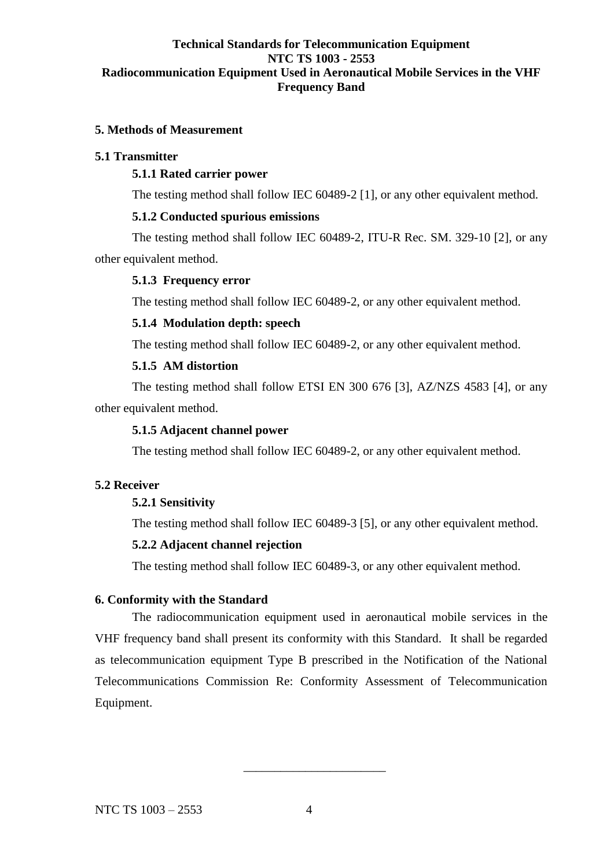#### <span id="page-7-0"></span>**5. Methods of Measurement**

#### <span id="page-7-1"></span>**5.1 Transmitter**

### **5.1.1 Rated carrier power**

The testing method shall follow IEC 60489-2 [1], or any other equivalent method.

#### **5.1.2 Conducted spurious emissions**

The testing method shall follow IEC 60489-2, ITU-R Rec. SM. 329-10 [2], or any other equivalent method.

#### **5.1.3 Frequency error**

The testing method shall follow IEC 60489-2, or any other equivalent method.

#### **5.1.4 Modulation depth: speech**

The testing method shall follow IEC 60489-2, or any other equivalent method.

#### **5.1.5 AM distortion**

The testing method shall follow ETSI EN 300 676 [3], AZ/NZS 4583 [4], or any other equivalent method.

#### **5.1.5 Adjacent channel power**

The testing method shall follow IEC 60489-2, or any other equivalent method.

## <span id="page-7-2"></span>**5.2 Receiver**

## **5.2.1 Sensitivity**

The testing method shall follow IEC 60489-3 [5], or any other equivalent method.

#### **5.2.2 Adjacent channel rejection**

The testing method shall follow IEC 60489-3, or any other equivalent method.

#### <span id="page-7-3"></span>**6. Conformity with the Standard**

The radiocommunication equipment used in aeronautical mobile services in the VHF frequency band shall present its conformity with this Standard. It shall be regarded as telecommunication equipment Type B prescribed in the Notification of the National Telecommunications Commission Re: Conformity Assessment of Telecommunication Equipment.

\_\_\_\_\_\_\_\_\_\_\_\_\_\_\_\_\_\_\_\_\_\_\_